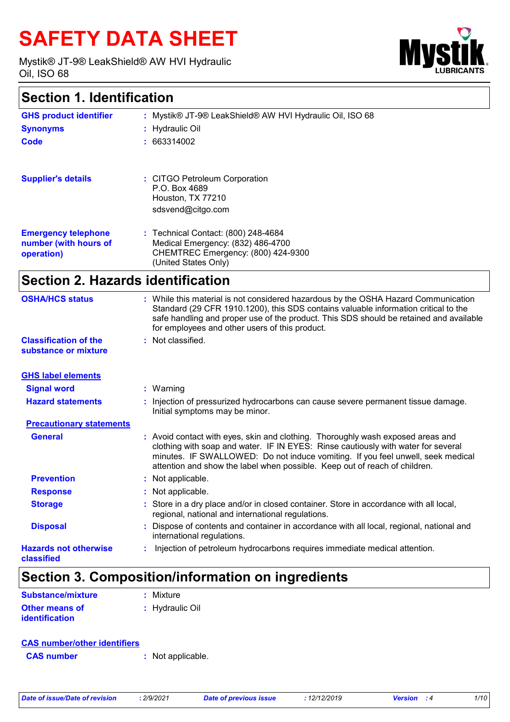# **SAFETY DATA SHEET**

Mystik® JT-9® LeakShield® AW HVI Hydraulic Oil, ISO 68



# **Section 1. Identification**

| <b>GHS product identifier</b><br><b>Synonyms</b>                  | : Mystik® JT-9® LeakShield® AW HVI Hydraulic Oil, ISO 68<br>: Hydraulic Oil                                                            |
|-------------------------------------------------------------------|----------------------------------------------------------------------------------------------------------------------------------------|
| Code                                                              | : 663314002                                                                                                                            |
| <b>Supplier's details</b>                                         | : CITGO Petroleum Corporation<br>P.O. Box 4689<br>Houston, TX 77210<br>sdsvend@citgo.com                                               |
| <b>Emergency telephone</b><br>number (with hours of<br>operation) | : Technical Contact: (800) 248-4684<br>Medical Emergency: (832) 486-4700<br>CHEMTREC Emergency: (800) 424-9300<br>(United States Only) |

# **Section 2. Hazards identification**

| <b>OSHA/HCS status</b>                               | : While this material is not considered hazardous by the OSHA Hazard Communication<br>Standard (29 CFR 1910.1200), this SDS contains valuable information critical to the<br>safe handling and proper use of the product. This SDS should be retained and available<br>for employees and other users of this product.                 |
|------------------------------------------------------|---------------------------------------------------------------------------------------------------------------------------------------------------------------------------------------------------------------------------------------------------------------------------------------------------------------------------------------|
| <b>Classification of the</b><br>substance or mixture | : Not classified.                                                                                                                                                                                                                                                                                                                     |
| <b>GHS label elements</b>                            |                                                                                                                                                                                                                                                                                                                                       |
| <b>Signal word</b>                                   | $:$ Warning                                                                                                                                                                                                                                                                                                                           |
| <b>Hazard statements</b>                             | : Injection of pressurized hydrocarbons can cause severe permanent tissue damage.<br>Initial symptoms may be minor.                                                                                                                                                                                                                   |
| <b>Precautionary statements</b>                      |                                                                                                                                                                                                                                                                                                                                       |
| <b>General</b>                                       | : Avoid contact with eyes, skin and clothing. Thoroughly wash exposed areas and<br>clothing with soap and water. IF IN EYES: Rinse cautiously with water for several<br>minutes. IF SWALLOWED: Do not induce vomiting. If you feel unwell, seek medical<br>attention and show the label when possible. Keep out of reach of children. |
| <b>Prevention</b>                                    | : Not applicable.                                                                                                                                                                                                                                                                                                                     |
| <b>Response</b>                                      | : Not applicable.                                                                                                                                                                                                                                                                                                                     |
| <b>Storage</b>                                       | : Store in a dry place and/or in closed container. Store in accordance with all local,<br>regional, national and international regulations.                                                                                                                                                                                           |
| <b>Disposal</b>                                      | : Dispose of contents and container in accordance with all local, regional, national and<br>international regulations.                                                                                                                                                                                                                |
| <b>Hazards not otherwise</b><br>classified           | Injection of petroleum hydrocarbons requires immediate medical attention.                                                                                                                                                                                                                                                             |

# **Section 3. Composition/information on ingredients**

| Substance/mixture     | : Mixture       |
|-----------------------|-----------------|
| <b>Other means of</b> | : Hydraulic Oil |
| <i>identification</i> |                 |

| <b>CAS number/other identifiers</b> |                   |
|-------------------------------------|-------------------|
| <b>CAS</b> number                   | : Not applicable. |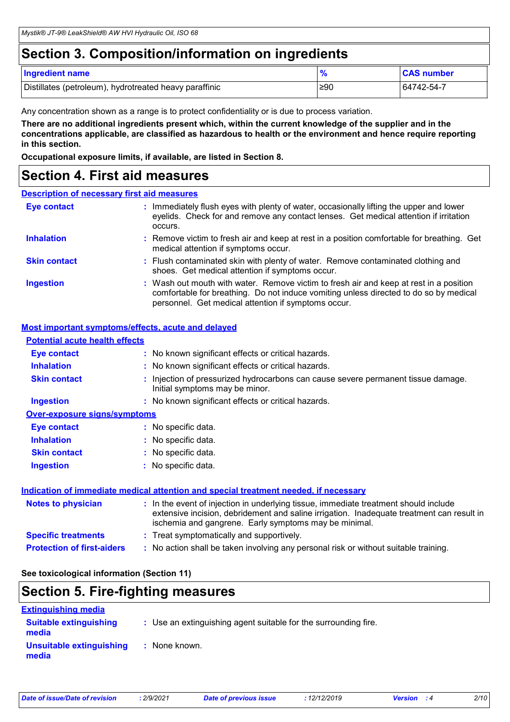# **Section 3. Composition/information on ingredients**

| <b>Ingredient name</b>                                 | $\Omega$ | <b>CAS number</b> |
|--------------------------------------------------------|----------|-------------------|
| Distillates (petroleum), hydrotreated heavy paraffinic | ≥90      | 64742-54-7        |

Any concentration shown as a range is to protect confidentiality or is due to process variation.

**There are no additional ingredients present which, within the current knowledge of the supplier and in the concentrations applicable, are classified as hazardous to health or the environment and hence require reporting in this section.**

**Occupational exposure limits, if available, are listed in Section 8.**

### **Section 4. First aid measures**

#### **Description of necessary first aid measures**

| <b>Eye contact</b>  | : Immediately flush eyes with plenty of water, occasionally lifting the upper and lower<br>eyelids. Check for and remove any contact lenses. Get medical attention if irritation<br>occurs.                                            |
|---------------------|----------------------------------------------------------------------------------------------------------------------------------------------------------------------------------------------------------------------------------------|
| <b>Inhalation</b>   | : Remove victim to fresh air and keep at rest in a position comfortable for breathing. Get<br>medical attention if symptoms occur.                                                                                                     |
| <b>Skin contact</b> | : Flush contaminated skin with plenty of water. Remove contaminated clothing and<br>shoes. Get medical attention if symptoms occur.                                                                                                    |
| <b>Ingestion</b>    | : Wash out mouth with water. Remove victim to fresh air and keep at rest in a position<br>comfortable for breathing. Do not induce vomiting unless directed to do so by medical<br>personnel. Get medical attention if symptoms occur. |

#### **Most important symptoms/effects, acute and delayed**

| <b>Potential acute health effects</b> |                                                                                                                                                                                                                                            |
|---------------------------------------|--------------------------------------------------------------------------------------------------------------------------------------------------------------------------------------------------------------------------------------------|
| <b>Eye contact</b>                    | : No known significant effects or critical hazards.                                                                                                                                                                                        |
| <b>Inhalation</b>                     | : No known significant effects or critical hazards.                                                                                                                                                                                        |
| <b>Skin contact</b>                   | : Injection of pressurized hydrocarbons can cause severe permanent tissue damage.<br>Initial symptoms may be minor.                                                                                                                        |
| <b>Ingestion</b>                      | : No known significant effects or critical hazards.                                                                                                                                                                                        |
| <b>Over-exposure signs/symptoms</b>   |                                                                                                                                                                                                                                            |
| <b>Eye contact</b>                    | : No specific data.                                                                                                                                                                                                                        |
| <b>Inhalation</b>                     | : No specific data.                                                                                                                                                                                                                        |
| <b>Skin contact</b>                   | : No specific data.                                                                                                                                                                                                                        |
| <b>Ingestion</b>                      | : No specific data.                                                                                                                                                                                                                        |
|                                       | Indication of immediate medical attention and special treatment needed, if necessary                                                                                                                                                       |
| <b>Notes to physician</b>             | : In the event of injection in underlying tissue, immediate treatment should include<br>extensive incision, debridement and saline irrigation. Inadequate treatment can result in<br>ischemia and gangrene. Early symptoms may be minimal. |
| <b>Specific treatments</b>            | : Treat symptomatically and supportively.                                                                                                                                                                                                  |
| <b>Protection of first-aiders</b>     | : No action shall be taken involving any personal risk or without suitable training.                                                                                                                                                       |

**See toxicological information (Section 11)**

### **Section 5. Fire-fighting measures**

| <b>Extinguishing media</b>             |                                                                 |
|----------------------------------------|-----------------------------------------------------------------|
| <b>Suitable extinguishing</b><br>media | : Use an extinguishing agent suitable for the surrounding fire. |
| Unsuitable extinguishing<br>media      | : None known.                                                   |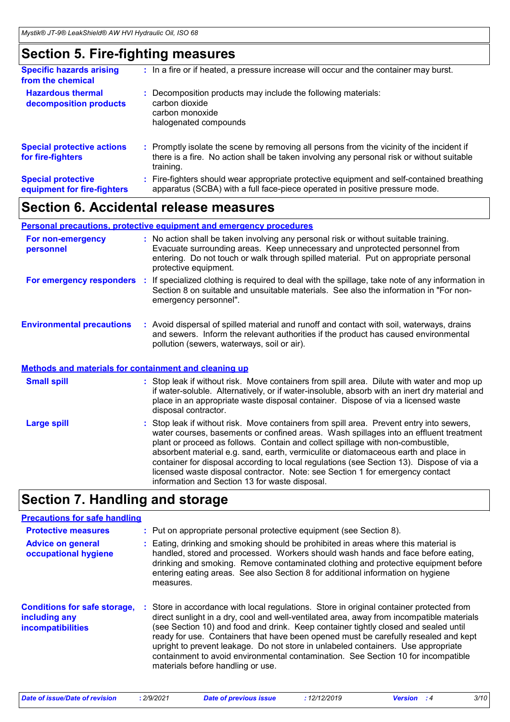# **Section 5. Fire-fighting measures**

| <b>Specific hazards arising</b><br>from the chemical     | : In a fire or if heated, a pressure increase will occur and the container may burst.                                                                                                               |
|----------------------------------------------------------|-----------------------------------------------------------------------------------------------------------------------------------------------------------------------------------------------------|
| <b>Hazardous thermal</b><br>decomposition products       | Decomposition products may include the following materials:<br>carbon dioxide<br>carbon monoxide<br>halogenated compounds                                                                           |
| <b>Special protective actions</b><br>for fire-fighters   | : Promptly isolate the scene by removing all persons from the vicinity of the incident if<br>there is a fire. No action shall be taken involving any personal risk or without suitable<br>training. |
| <b>Special protective</b><br>equipment for fire-fighters | Fire-fighters should wear appropriate protective equipment and self-contained breathing<br>apparatus (SCBA) with a full face-piece operated in positive pressure mode.                              |
|                                                          |                                                                                                                                                                                                     |

# **Section 6. Accidental release measures**

#### **Environmental precautions Personal precautions, protective equipment and emergency procedures :** Avoid dispersal of spilled material and runoff and contact with soil, waterways, drains **:** No action shall be taken involving any personal risk or without suitable training. Evacuate surrounding areas. Keep unnecessary and unprotected personnel from entering. Do not touch or walk through spilled material. Put on appropriate personal protective equipment. and sewers. Inform the relevant authorities if the product has caused environmental pollution (sewers, waterways, soil or air). **For non-emergency personnel For emergency responders :** If specialized clothing is required to deal with the spillage, take note of any information in Section 8 on suitable and unsuitable materials. See also the information in "For nonemergency personnel".

#### **Methods and materials for containment and cleaning up**

| <b>Small spill</b> | : Stop leak if without risk. Move containers from spill area. Dilute with water and mop up<br>if water-soluble. Alternatively, or if water-insoluble, absorb with an inert dry material and<br>place in an appropriate waste disposal container. Dispose of via a licensed waste<br>disposal contractor.                                                                                                                                                                                                                                                                                   |
|--------------------|--------------------------------------------------------------------------------------------------------------------------------------------------------------------------------------------------------------------------------------------------------------------------------------------------------------------------------------------------------------------------------------------------------------------------------------------------------------------------------------------------------------------------------------------------------------------------------------------|
| <b>Large spill</b> | : Stop leak if without risk. Move containers from spill area. Prevent entry into sewers,<br>water courses, basements or confined areas. Wash spillages into an effluent treatment<br>plant or proceed as follows. Contain and collect spillage with non-combustible,<br>absorbent material e.g. sand, earth, vermiculite or diatomaceous earth and place in<br>container for disposal according to local regulations (see Section 13). Dispose of via a<br>licensed waste disposal contractor. Note: see Section 1 for emergency contact<br>information and Section 13 for waste disposal. |

# **Section 7. Handling and storage**

#### **Precautions for safe handling**

| <b>Protective measures</b>                                                       | : Put on appropriate personal protective equipment (see Section 8).                                                                                                                                                                                                                                                                                                                                                                                                                                                                                                              |
|----------------------------------------------------------------------------------|----------------------------------------------------------------------------------------------------------------------------------------------------------------------------------------------------------------------------------------------------------------------------------------------------------------------------------------------------------------------------------------------------------------------------------------------------------------------------------------------------------------------------------------------------------------------------------|
| <b>Advice on general</b><br>occupational hygiene                                 | Eating, drinking and smoking should be prohibited in areas where this material is<br>handled, stored and processed. Workers should wash hands and face before eating,<br>drinking and smoking. Remove contaminated clothing and protective equipment before<br>entering eating areas. See also Section 8 for additional information on hygiene<br>measures.                                                                                                                                                                                                                      |
| <b>Conditions for safe storage,</b><br>including any<br><b>incompatibilities</b> | Store in accordance with local regulations. Store in original container protected from<br>direct sunlight in a dry, cool and well-ventilated area, away from incompatible materials<br>(see Section 10) and food and drink. Keep container tightly closed and sealed until<br>ready for use. Containers that have been opened must be carefully resealed and kept<br>upright to prevent leakage. Do not store in unlabeled containers. Use appropriate<br>containment to avoid environmental contamination. See Section 10 for incompatible<br>materials before handling or use. |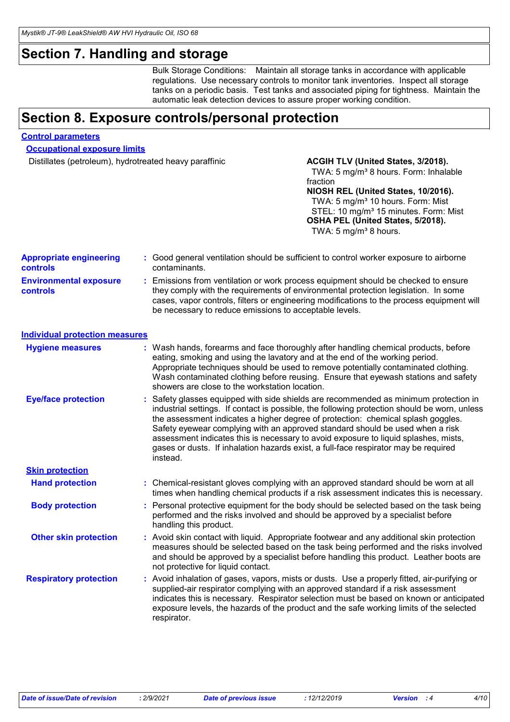# **Section 7. Handling and storage**

Bulk Storage Conditions: Maintain all storage tanks in accordance with applicable regulations. Use necessary controls to monitor tank inventories. Inspect all storage tanks on a periodic basis. Test tanks and associated piping for tightness. Maintain the automatic leak detection devices to assure proper working condition.

# **Section 8. Exposure controls/personal protection**

#### **Control parameters**

**Occupational exposure limits**

Distillates (petroleum), hydrotreated heavy paraffinic **ACGIH TLV (United States, 3/2018).** 

### TWA: 5 mg/m<sup>3</sup> 8 hours. Form: Inhalable fraction

**NIOSH REL (United States, 10/2016).** TWA: 5 mg/m<sup>3</sup> 10 hours. Form: Mist STEL: 10 mg/m<sup>3</sup> 15 minutes. Form: Mist **OSHA PEL (United States, 5/2018).** TWA:  $5 \text{ mg/m}^3$  8 hours.

| <b>Appropriate engineering</b><br>controls |    | : Good general ventilation should be sufficient to control worker exposure to airborne<br>contaminants.                                                                                                                                                                                                                                                                                                                                                                                                                                           |
|--------------------------------------------|----|---------------------------------------------------------------------------------------------------------------------------------------------------------------------------------------------------------------------------------------------------------------------------------------------------------------------------------------------------------------------------------------------------------------------------------------------------------------------------------------------------------------------------------------------------|
| <b>Environmental exposure</b><br>controls  |    | : Emissions from ventilation or work process equipment should be checked to ensure<br>they comply with the requirements of environmental protection legislation. In some<br>cases, vapor controls, filters or engineering modifications to the process equipment will<br>be necessary to reduce emissions to acceptable levels.                                                                                                                                                                                                                   |
| <b>Individual protection measures</b>      |    |                                                                                                                                                                                                                                                                                                                                                                                                                                                                                                                                                   |
| <b>Hygiene measures</b>                    |    | : Wash hands, forearms and face thoroughly after handling chemical products, before<br>eating, smoking and using the lavatory and at the end of the working period.<br>Appropriate techniques should be used to remove potentially contaminated clothing.<br>Wash contaminated clothing before reusing. Ensure that eyewash stations and safety<br>showers are close to the workstation location.                                                                                                                                                 |
| <b>Eye/face protection</b>                 | ÷. | Safety glasses equipped with side shields are recommended as minimum protection in<br>industrial settings. If contact is possible, the following protection should be worn, unless<br>the assessment indicates a higher degree of protection: chemical splash goggles.<br>Safety eyewear complying with an approved standard should be used when a risk<br>assessment indicates this is necessary to avoid exposure to liquid splashes, mists,<br>gases or dusts. If inhalation hazards exist, a full-face respirator may be required<br>instead. |
| <b>Skin protection</b>                     |    |                                                                                                                                                                                                                                                                                                                                                                                                                                                                                                                                                   |
| <b>Hand protection</b>                     |    | Chemical-resistant gloves complying with an approved standard should be worn at all<br>times when handling chemical products if a risk assessment indicates this is necessary.                                                                                                                                                                                                                                                                                                                                                                    |
| <b>Body protection</b>                     |    | Personal protective equipment for the body should be selected based on the task being<br>performed and the risks involved and should be approved by a specialist before<br>handling this product.                                                                                                                                                                                                                                                                                                                                                 |
| <b>Other skin protection</b>               |    | : Avoid skin contact with liquid. Appropriate footwear and any additional skin protection<br>measures should be selected based on the task being performed and the risks involved<br>and should be approved by a specialist before handling this product. Leather boots are<br>not protective for liquid contact.                                                                                                                                                                                                                                 |
| <b>Respiratory protection</b>              |    | : Avoid inhalation of gases, vapors, mists or dusts. Use a properly fitted, air-purifying or<br>supplied-air respirator complying with an approved standard if a risk assessment<br>indicates this is necessary. Respirator selection must be based on known or anticipated<br>exposure levels, the hazards of the product and the safe working limits of the selected<br>respirator.                                                                                                                                                             |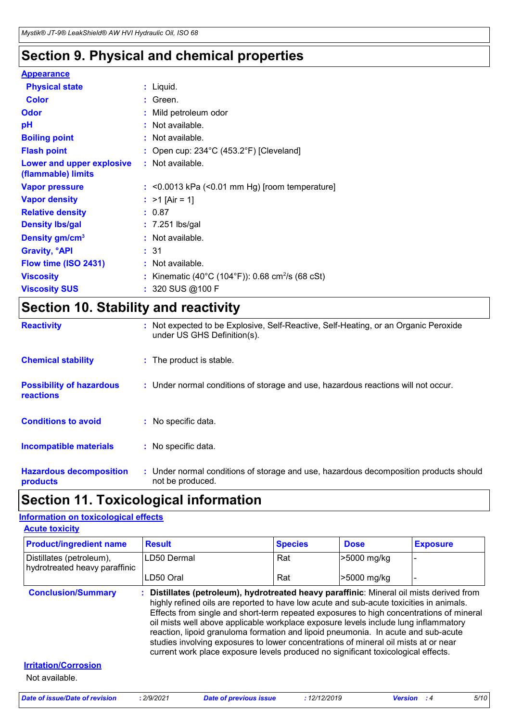# **Section 9. Physical and chemical properties**

### **Appearance**

| $:$ Liquid.                                                  |
|--------------------------------------------------------------|
| $:$ Green.                                                   |
| : Mild petroleum odor                                        |
| : Not available.                                             |
| : Not available.                                             |
| : Open cup: $234^{\circ}$ C (453.2°F) [Cleveland]            |
| $:$ Not available.                                           |
| $:$ <0.0013 kPa (<0.01 mm Hg) [room temperature]             |
| : $>1$ [Air = 1]                                             |
| : 0.87                                                       |
| $: 7.251$ lbs/gal                                            |
| : Not available.                                             |
| :31                                                          |
| : Not available.                                             |
| : Kinematic (40°C (104°F)): 0.68 cm <sup>2</sup> /s (68 cSt) |
| : 320 SUS @100 F                                             |
|                                                              |

# **Section 10. Stability and reactivity**

| <b>Reactivity</b>                                   | : Not expected to be Explosive, Self-Reactive, Self-Heating, or an Organic Peroxide<br>under US GHS Definition(s). |
|-----------------------------------------------------|--------------------------------------------------------------------------------------------------------------------|
| <b>Chemical stability</b>                           | : The product is stable.                                                                                           |
| <b>Possibility of hazardous</b><br><b>reactions</b> | : Under normal conditions of storage and use, hazardous reactions will not occur.                                  |
| <b>Conditions to avoid</b>                          | : No specific data.                                                                                                |
| <b>Incompatible materials</b>                       | : No specific data.                                                                                                |
| <b>Hazardous decomposition</b><br>products          | : Under normal conditions of storage and use, hazardous decomposition products should<br>not be produced.          |

## **Section 11. Toxicological information**

### **Information on toxicological effects**

| <b>Product/ingredient name</b>                            | <b>Result</b>                                                                                                                                                                                                                                                                                                                                                                                                                                                                                                                                                                                                                          | <b>Species</b> | <b>Dose</b> | <b>Exposure</b> |
|-----------------------------------------------------------|----------------------------------------------------------------------------------------------------------------------------------------------------------------------------------------------------------------------------------------------------------------------------------------------------------------------------------------------------------------------------------------------------------------------------------------------------------------------------------------------------------------------------------------------------------------------------------------------------------------------------------------|----------------|-------------|-----------------|
| Distillates (petroleum),<br>hydrotreated heavy paraffinic | LD50 Dermal                                                                                                                                                                                                                                                                                                                                                                                                                                                                                                                                                                                                                            | Rat            | >5000 mg/kg |                 |
|                                                           | LD50 Oral                                                                                                                                                                                                                                                                                                                                                                                                                                                                                                                                                                                                                              | Rat            | >5000 mg/kg |                 |
| <b>Conclusion/Summary</b>                                 | : Distillates (petroleum), hydrotreated heavy paraffinic: Mineral oil mists derived from<br>highly refined oils are reported to have low acute and sub-acute toxicities in animals.<br>Effects from single and short-term repeated exposures to high concentrations of mineral<br>oil mists well above applicable workplace exposure levels include lung inflammatory<br>reaction, lipoid granuloma formation and lipoid pneumonia. In acute and sub-acute<br>studies involving exposures to lower concentrations of mineral oil mists at or near<br>current work place exposure levels produced no significant toxicological effects. |                |             |                 |
|                                                           |                                                                                                                                                                                                                                                                                                                                                                                                                                                                                                                                                                                                                                        |                |             |                 |
| <b>Irritation/Corrosion</b>                               |                                                                                                                                                                                                                                                                                                                                                                                                                                                                                                                                                                                                                                        |                |             |                 |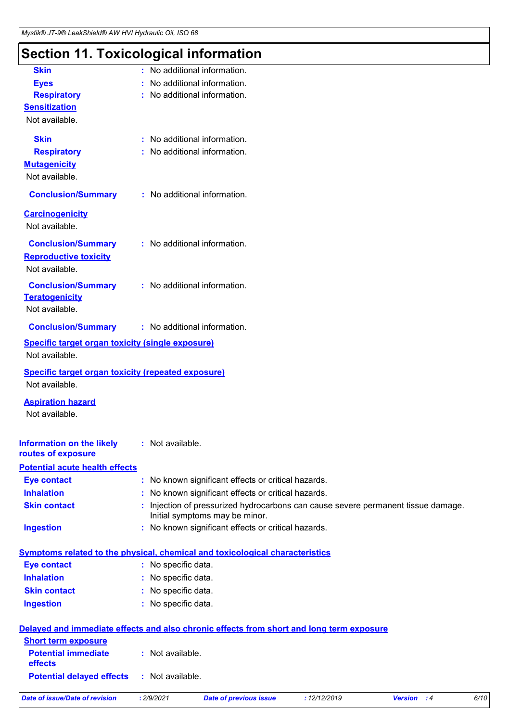# **Section 11. Toxicological information**

| <b>Skin</b>                                               | : No additional information.                                                             |
|-----------------------------------------------------------|------------------------------------------------------------------------------------------|
| <b>Eyes</b>                                               | No additional information.                                                               |
| <b>Respiratory</b>                                        | No additional information.                                                               |
| <b>Sensitization</b>                                      |                                                                                          |
| Not available.                                            |                                                                                          |
| <b>Skin</b>                                               | : No additional information.                                                             |
| <b>Respiratory</b>                                        | : No additional information.                                                             |
| <b>Mutagenicity</b>                                       |                                                                                          |
| Not available.                                            |                                                                                          |
|                                                           |                                                                                          |
| <b>Conclusion/Summary</b>                                 | : No additional information.                                                             |
| <b>Carcinogenicity</b>                                    |                                                                                          |
| Not available.                                            |                                                                                          |
| <b>Conclusion/Summary</b>                                 | : No additional information.                                                             |
| <b>Reproductive toxicity</b>                              |                                                                                          |
| Not available.                                            |                                                                                          |
|                                                           |                                                                                          |
| <b>Conclusion/Summary</b><br><b>Teratogenicity</b>        | : No additional information.                                                             |
| Not available.                                            |                                                                                          |
|                                                           |                                                                                          |
| <b>Conclusion/Summary</b>                                 | : No additional information.                                                             |
| <b>Specific target organ toxicity (single exposure)</b>   |                                                                                          |
| Not available.                                            |                                                                                          |
| <b>Specific target organ toxicity (repeated exposure)</b> |                                                                                          |
| Not available.                                            |                                                                                          |
| <b>Aspiration hazard</b>                                  |                                                                                          |
| Not available.                                            |                                                                                          |
|                                                           |                                                                                          |
| <b>Information on the likely</b>                          | : Not available.                                                                         |
| routes of exposure                                        |                                                                                          |
| <b>Potential acute health effects</b>                     |                                                                                          |
| <b>Eye contact</b>                                        | : No known significant effects or critical hazards.                                      |
| <b>Inhalation</b>                                         | : No known significant effects or critical hazards.                                      |
| <b>Skin contact</b>                                       | Injection of pressurized hydrocarbons can cause severe permanent tissue damage.          |
|                                                           | Initial symptoms may be minor.                                                           |
| <b>Ingestion</b>                                          | : No known significant effects or critical hazards.                                      |
|                                                           |                                                                                          |
|                                                           | Symptoms related to the physical, chemical and toxicological characteristics             |
| <b>Eye contact</b>                                        | : No specific data.                                                                      |
| <b>Inhalation</b>                                         | : No specific data.                                                                      |
| <b>Skin contact</b>                                       | : No specific data.                                                                      |
| <b>Ingestion</b>                                          | : No specific data.                                                                      |
|                                                           |                                                                                          |
| <b>Short term exposure</b>                                | Delayed and immediate effects and also chronic effects from short and long term exposure |
| <b>Potential immediate</b>                                | : Not available.                                                                         |
| effects                                                   |                                                                                          |
| <b>Potential delayed effects</b>                          | : Not available.                                                                         |
|                                                           |                                                                                          |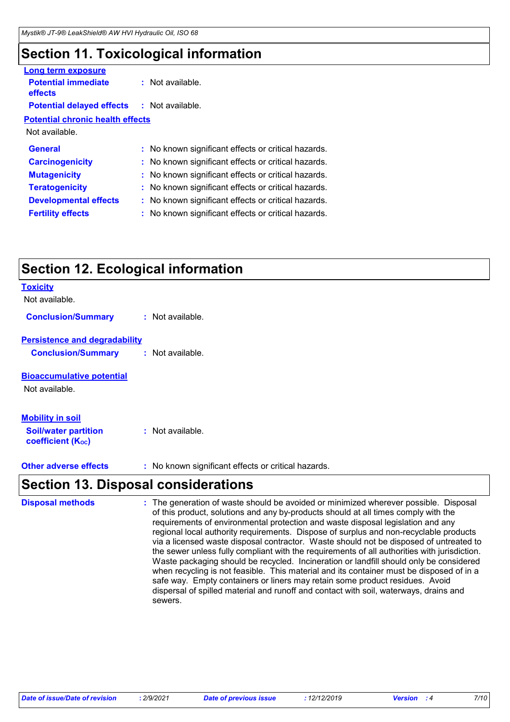# **Section 11. Toxicological information**

| Long term exposure                                |                                                     |
|---------------------------------------------------|-----------------------------------------------------|
| <b>Potential immediate</b><br><b>effects</b>      | $:$ Not available.                                  |
| <b>Potential delayed effects : Not available.</b> |                                                     |
| <b>Potential chronic health effects</b>           |                                                     |
| Not available.                                    |                                                     |
| <b>General</b>                                    | : No known significant effects or critical hazards. |
| <b>Carcinogenicity</b>                            | : No known significant effects or critical hazards. |
| <b>Mutagenicity</b>                               | : No known significant effects or critical hazards. |
| <b>Teratogenicity</b>                             | : No known significant effects or critical hazards. |
| <b>Developmental effects</b>                      | No known significant effects or critical hazards.   |
| <b>Fertility effects</b>                          | No known significant effects or critical hazards.   |
|                                                   |                                                     |

# **Section 12. Ecological information**

| <b>Section 13. Disposal considerations</b>                                         |                                                     |
|------------------------------------------------------------------------------------|-----------------------------------------------------|
| <b>Other adverse effects</b>                                                       | : No known significant effects or critical hazards. |
| <b>Mobility in soil</b><br><b>Soil/water partition</b><br><b>coefficient (Koc)</b> | : Not available.                                    |
| <b>Bioaccumulative potential</b><br>Not available.                                 |                                                     |
| <b>Persistence and degradability</b><br><b>Conclusion/Summary</b>                  | : Not available.                                    |
| <b>Conclusion/Summary</b>                                                          | : Not available.                                    |
| Not available.                                                                     |                                                     |
| <b>Toxicity</b>                                                                    |                                                     |

The generation of waste should be avoided or minimized wherever possible. Disposal of this product, solutions and any by-products should at all times comply with the requirements of environmental protection and waste disposal legislation and any regional local authority requirements. Dispose of surplus and non-recyclable products via a licensed waste disposal contractor. Waste should not be disposed of untreated to the sewer unless fully compliant with the requirements of all authorities with jurisdiction. Waste packaging should be recycled. Incineration or landfill should only be considered when recycling is not feasible. This material and its container must be disposed of in a safe way. Empty containers or liners may retain some product residues. Avoid dispersal of spilled material and runoff and contact with soil, waterways, drains and sewers. **Disposal methods :**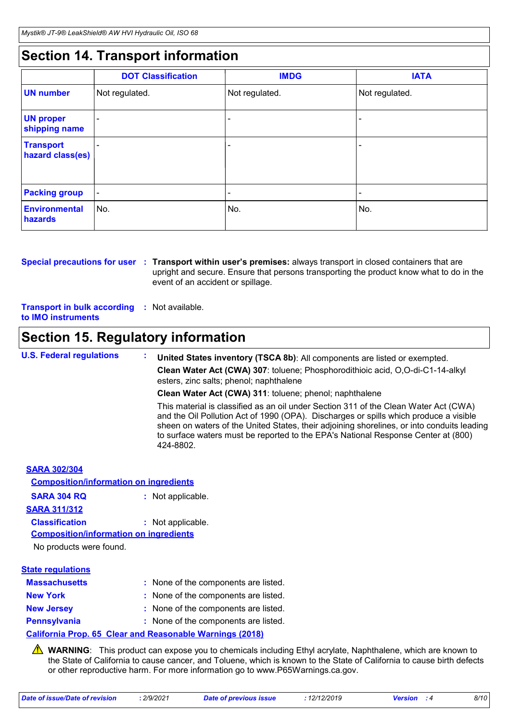# **Section 14. Transport information**

|                                      | <b>DOT Classification</b> | <b>IMDG</b>    | <b>IATA</b>    |
|--------------------------------------|---------------------------|----------------|----------------|
| <b>UN</b> number                     | Not regulated.            | Not regulated. | Not regulated. |
| <b>UN proper</b><br>shipping name    |                           |                |                |
| <b>Transport</b><br>hazard class(es) |                           |                |                |
| <b>Packing group</b>                 | $\overline{\phantom{a}}$  |                | -              |
| Environmental<br>hazards             | ∣No.                      | No.            | No.            |

**Special precautions for user** : Transport within user's premises: always transport in closed containers that are upright and secure. Ensure that persons transporting the product know what to do in the event of an accident or spillage.

**Transport in bulk according :** Not available. **to IMO instruments**

# **Section 15. Regulatory information**

**U.S. Federal regulations : United States inventory (TSCA 8b)**: All components are listed or exempted. **Clean Water Act (CWA) 307**: toluene; Phosphorodithioic acid, O,O-di-C1-14-alkyl esters, zinc salts; phenol; naphthalene **Clean Water Act (CWA) 311**: toluene; phenol; naphthalene This material is classified as an oil under Section 311 of the Clean Water Act (CWA) and the Oil Pollution Act of 1990 (OPA). Discharges or spills which produce a visible sheen on waters of the United States, their adjoining shorelines, or into conduits leading

|                                                                      | sheen on waters of the United States, their adjoining shorelines, or into conduits leading<br>to surface waters must be reported to the EPA's National Response Center at (800)<br>424-8802. |
|----------------------------------------------------------------------|----------------------------------------------------------------------------------------------------------------------------------------------------------------------------------------------|
| <b>SARA 302/304</b><br><b>Composition/information on ingredients</b> |                                                                                                                                                                                              |
| <b>SARA 304 RQ</b>                                                   | : Not applicable.                                                                                                                                                                            |
| <b>SARA 311/312</b>                                                  |                                                                                                                                                                                              |
| <b>Classification</b>                                                | : Not applicable.                                                                                                                                                                            |
| <b>Composition/information on ingredients</b>                        |                                                                                                                                                                                              |
| No products were found.                                              |                                                                                                                                                                                              |
| <b>State regulations</b>                                             |                                                                                                                                                                                              |
| <b>Massachusetts</b>                                                 | : None of the components are listed.                                                                                                                                                         |
| <b>New York</b>                                                      | : None of the components are listed.                                                                                                                                                         |
| <b>New Jersey</b>                                                    | : None of the components are listed.                                                                                                                                                         |
| <b>Pennsylvania</b>                                                  | : None of the components are listed.                                                                                                                                                         |
|                                                                      | <b>California Prop. 65 Clear and Reasonable Warnings (2018)</b>                                                                                                                              |
|                                                                      |                                                                                                                                                                                              |

**A** WARNING: This product can expose you to chemicals including Ethyl acrylate, Naphthalene, which are known to the State of California to cause cancer, and Toluene, which is known to the State of California to cause birth defects or other reproductive harm. For more information go to www.P65Warnings.ca.gov.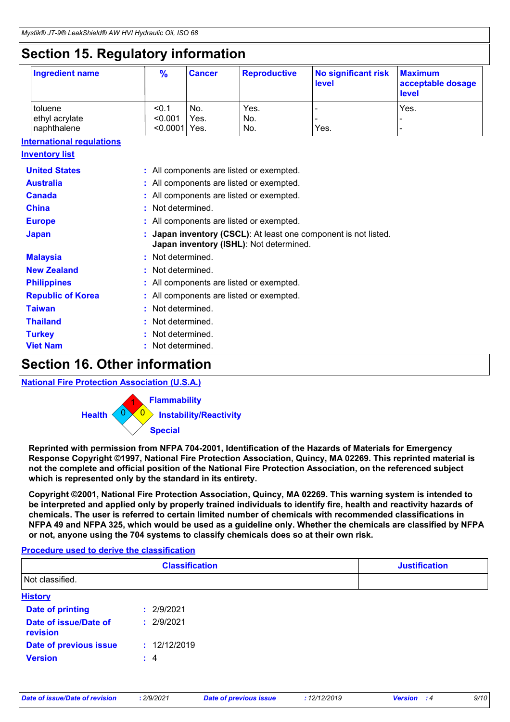# **Section 15. Regulatory information**

| <b>Ingredient name</b> | $\frac{9}{6}$   | <b>Cancer</b> | <b>Reproductive</b> | No significant risk<br>level | <b>Maximum</b><br>acceptable dosage<br><b>level</b> |
|------------------------|-----------------|---------------|---------------------|------------------------------|-----------------------------------------------------|
| toluene                | < 0.1           | No.           | Yes.                |                              | Yes.                                                |
| ethyl acrylate         | < 0.001         | Yes.          | No.                 |                              |                                                     |
| naphthalene            | $< 0.0001$ Yes. |               | No.                 | Yes.                         | -                                                   |

### **International regulations**

| <u>Inventory list</u>    |                                                                                                            |
|--------------------------|------------------------------------------------------------------------------------------------------------|
| <b>United States</b>     | : All components are listed or exempted.                                                                   |
| <b>Australia</b>         | : All components are listed or exempted.                                                                   |
| <b>Canada</b>            | : All components are listed or exempted.                                                                   |
| <b>China</b>             | : Not determined.                                                                                          |
| <b>Europe</b>            | : All components are listed or exempted.                                                                   |
| <b>Japan</b>             | : Japan inventory (CSCL): At least one component is not listed.<br>Japan inventory (ISHL): Not determined. |
| <b>Malaysia</b>          | : Not determined.                                                                                          |
| <b>New Zealand</b>       | : Not determined.                                                                                          |
| <b>Philippines</b>       | : All components are listed or exempted.                                                                   |
| <b>Republic of Korea</b> | : All components are listed or exempted.                                                                   |
| <b>Taiwan</b>            | : Not determined.                                                                                          |
| <b>Thailand</b>          | : Not determined.                                                                                          |
| <b>Turkey</b>            | : Not determined.                                                                                          |
| <b>Viet Nam</b>          | : Not determined.                                                                                          |

# **Section 16. Other information**

### **National Fire Protection Association (U.S.A.)**



**Reprinted with permission from NFPA 704-2001, Identification of the Hazards of Materials for Emergency Response Copyright ©1997, National Fire Protection Association, Quincy, MA 02269. This reprinted material is not the complete and official position of the National Fire Protection Association, on the referenced subject which is represented only by the standard in its entirety.**

**Copyright ©2001, National Fire Protection Association, Quincy, MA 02269. This warning system is intended to be interpreted and applied only by properly trained individuals to identify fire, health and reactivity hazards of chemicals. The user is referred to certain limited number of chemicals with recommended classifications in NFPA 49 and NFPA 325, which would be used as a guideline only. Whether the chemicals are classified by NFPA or not, anyone using the 704 systems to classify chemicals does so at their own risk.**

### **Procedure used to derive the classification**

|                                   | <b>Classification</b> | <b>Justification</b> |
|-----------------------------------|-----------------------|----------------------|
| Not classified.                   |                       |                      |
| <b>History</b>                    |                       |                      |
| <b>Date of printing</b>           | : 2/9/2021            |                      |
| Date of issue/Date of<br>revision | : 2/9/2021            |                      |
| Date of previous issue            | : 12/12/2019          |                      |
| <b>Version</b>                    | $\div$ 4              |                      |